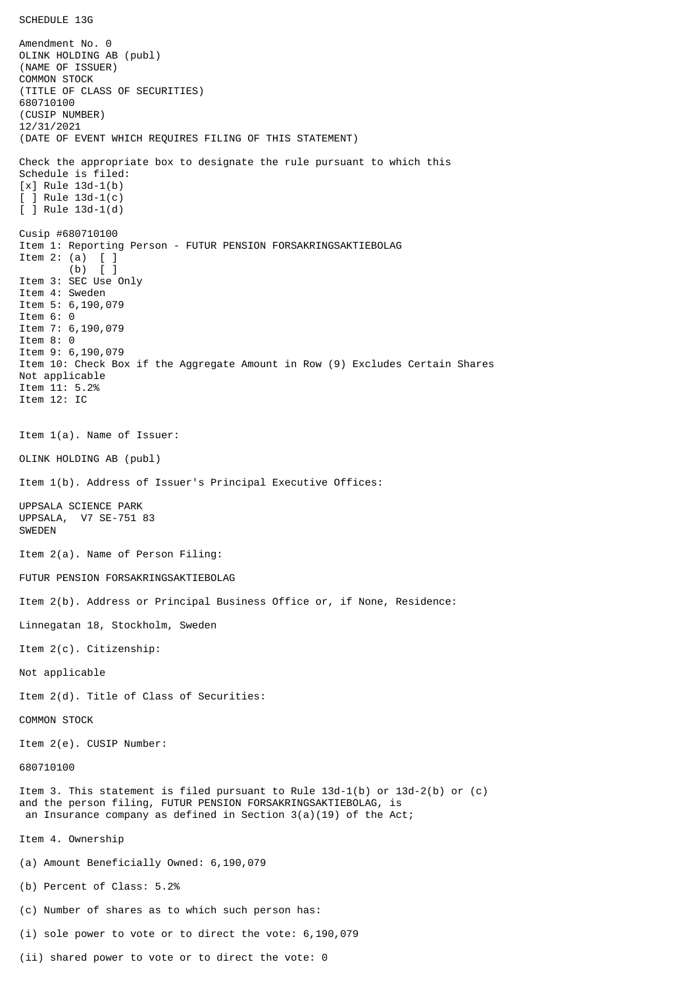Amendment No. 0 OLINK HOLDING AB (publ) (NAME OF ISSUER) COMMON STOCK (TITLE OF CLASS OF SECURITIES) 680710100 (CUSIP NUMBER) 12/31/2021 (DATE OF EVENT WHICH REQUIRES FILING OF THIS STATEMENT) Check the appropriate box to designate the rule pursuant to which this Schedule is filed: [x] Rule 13d-1(b)  $[$  ] Rule 13d-1 $(c)$ [ ] Rule 13d-1(d) Cusip #680710100 Item 1: Reporting Person - FUTUR PENSION FORSAKRINGSAKTIEBOLAG Item 2:  $(a)$  (b) [ ] Item 3: SEC Use Only Item 4: Sweden Item 5: 6,190,079 Item 6: 0 Item 7: 6,190,079 Item 8: 0 Item 9: 6,190,079 Item 10: Check Box if the Aggregate Amount in Row (9) Excludes Certain Shares Not applicable Item 11: 5.2% Item 12: IC Item 1(a). Name of Issuer: OLINK HOLDING AB (publ) Item 1(b). Address of Issuer's Principal Executive Offices: UPPSALA SCIENCE PARK UPPSALA, V7 SE-751 83 SWEDEN Item 2(a). Name of Person Filing: FUTUR PENSION FORSAKRINGSAKTIEBOLAG Item 2(b). Address or Principal Business Office or, if None, Residence: Linnegatan 18, Stockholm, Sweden Item 2(c). Citizenship: Not applicable Item 2(d). Title of Class of Securities: COMMON STOCK Item 2(e). CUSIP Number: 680710100 Item 3. This statement is filed pursuant to Rule 13d-1(b) or 13d-2(b) or (c) and the person filing, FUTUR PENSION FORSAKRINGSAKTIEBOLAG, is an Insurance company as defined in Section  $3(a)(19)$  of the Act; Item 4. Ownership (a) Amount Beneficially Owned: 6,190,079 (b) Percent of Class: 5.2% (c) Number of shares as to which such person has: (i) sole power to vote or to direct the vote: 6,190,079

SCHEDULE 13G

(ii) shared power to vote or to direct the vote: 0